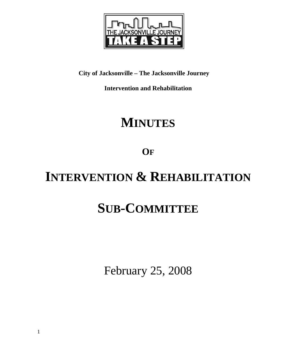

# **City of Jacksonville – The Jacksonville Journey**

**Intervention and Rehabilitation** 

# **MINUTES**

**OF**

# **INTERVENTION & REHABILITATION**

# **SUB-COMMITTEE**

February 25, 2008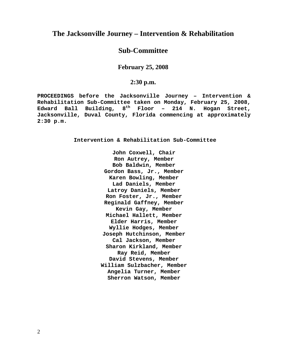# **The Jacksonville Journey – Intervention & Rehabilitation**

# **Sub-Committee**

**February 25, 2008** 

# **2:30 p.m.**

**PROCEEDINGS before the Jacksonville Journey – Intervention & Rehabilitation Sub-Committee taken on Monday, February 25, 2008, Edward Ball Building, 8th Floor – 214 N. Hogan Street, Jacksonville, Duval County, Florida commencing at approximately 2:30 p.m.** 

**Intervention & Rehabilitation Sub-Committee** 

**John Coxwell, Chair Ron Autrey, Member Bob Baldwin, Member Gordon Bass, Jr., Member Karen Bowling, Member Lad Daniels, Member Latroy Daniels, Member Ron Foster, Jr., Member Reginald Gaffney, Member Kevin Gay, Member Michael Hallett, Member Elder Harris, Member Wyllie Hodges, Member Joseph Hutchinson, Member Cal Jackson, Member Sharon Kirkland, Member Ray Reid, Member David Stevens, Member William Sulzbacher, Member Angelia Turner, Member Sherron Watson, Member**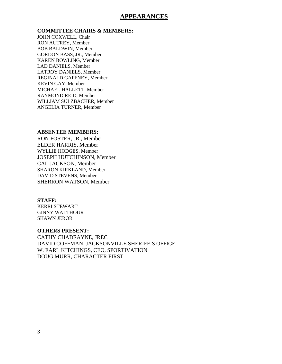### **APPEARANCES**

#### **COMMITTEE CHAIRS & MEMBERS:**

JOHN COXWELL, Chair RON AUTREY, Member BOB BALDWIN, Member GORDON BASS, JR., Member KAREN BOWLING, Member LAD DANIELS, Member LATROY DANIELS, Member REGINALD GAFFNEY, Member KEVIN GAY, Member MICHAEL HALLETT, Member RAYMOND REID, Member WILLIAM SULZBACHER, Member ANGELIA TURNER, Member

#### **ABSENTEE MEMBERS:**

RON FOSTER, JR., Member ELDER HARRIS, Member WYLLIE HODGES, Member JOSEPH HUTCHINSON, Member CAL JACKSON, Member SHARON KIRKLAND, Member DAVID STEVENS, Member SHERRON WATSON, Member

#### **STAFF:**

KERRI STEWART GINNY WALTHOUR SHAWN JEROR

#### **OTHERS PRESENT:**

CATHY CHADEAYNE, JREC DAVID COFFMAN, JACKSONVILLE SHERIFF'S OFFICE W. EARL KITCHINGS, CEO, SPORTIVATION DOUG MURR, CHARACTER FIRST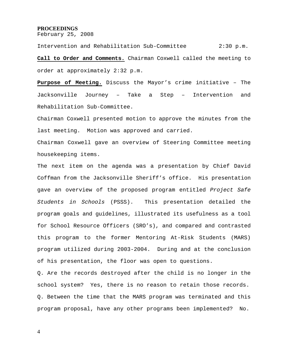#### **PROCEEDINGS**

February 25, 2008

Intervention and Rehabilitation Sub-Committee 2:30 p.m. **Call to Order and Comments.** Chairman Coxwell called the meeting to order at approximately 2:32 p.m.

**Purpose of Meeting.** Discuss the Mayor's crime initiative – The Jacksonville Journey – Take a Step – Intervention and Rehabilitation Sub-Committee.

Chairman Coxwell presented motion to approve the minutes from the last meeting. Motion was approved and carried.

Chairman Coxwell gave an overview of Steering Committee meeting housekeeping items.

The next item on the agenda was a presentation by Chief David Coffman from the Jacksonville Sheriff's office. His presentation gave an overview of the proposed program entitled *Project Safe Students in Schools* (PSSS). This presentation detailed the program goals and guidelines, illustrated its usefulness as a tool for School Resource Officers (SRO's), and compared and contrasted this program to the former Mentoring At-Risk Students (MARS) program utilized during 2003-2004. During and at the conclusion of his presentation, the floor was open to questions.

Q. Are the records destroyed after the child is no longer in the school system? Yes, there is no reason to retain those records. Q. Between the time that the MARS program was terminated and this program proposal, have any other programs been implemented? No.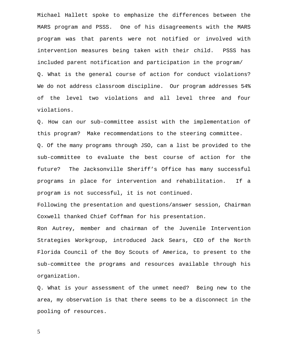Michael Hallett spoke to emphasize the differences between the MARS program and PSSS. One of his disagreements with the MARS program was that parents were not notified or involved with intervention measures being taken with their child. PSSS has included parent notification and participation in the program/ Q. What is the general course of action for conduct violations? We do not address classroom discipline. Our program addresses 54% of the level two violations and all level three and four violations.

Q. How can our sub-committee assist with the implementation of this program? Make recommendations to the steering committee. Q. Of the many programs through JSO, can a list be provided to the sub-committee to evaluate the best course of action for the future? The Jacksonville Sheriff's Office has many successful programs in place for intervention and rehabilitation. If a program is not successful, it is not continued.

Following the presentation and questions/answer session, Chairman Coxwell thanked Chief Coffman for his presentation.

Ron Autrey, member and chairman of the Juvenile Intervention Strategies Workgroup, introduced Jack Sears, CEO of the North Florida Council of the Boy Scouts of America, to present to the sub-committee the programs and resources available through his organization.

Q. What is your assessment of the unmet need? Being new to the area, my observation is that there seems to be a disconnect in the pooling of resources.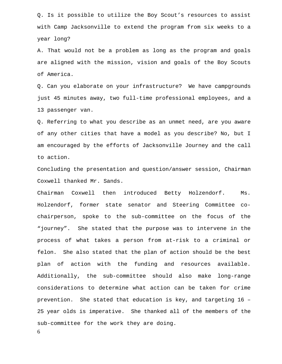Q. Is it possible to utilize the Boy Scout's resources to assist with Camp Jacksonville to extend the program from six weeks to a year long?

A. That would not be a problem as long as the program and goals are aligned with the mission, vision and goals of the Boy Scouts of America.

Q. Can you elaborate on your infrastructure? We have campgrounds just 45 minutes away, two full-time professional employees, and a 13 passenger van.

Q. Referring to what you describe as an unmet need, are you aware of any other cities that have a model as you describe? No, but I am encouraged by the efforts of Jacksonville Journey and the call to action.

Concluding the presentation and question/answer session, Chairman Coxwell thanked Mr. Sands.

Chairman Coxwell then introduced Betty Holzendorf. Ms. Holzendorf, former state senator and Steering Committee cochairperson, spoke to the sub-committee on the focus of the "journey". She stated that the purpose was to intervene in the process of what takes a person from at-risk to a criminal or felon. She also stated that the plan of action should be the best plan of action with the funding and resources available. Additionally, the sub-committee should also make long-range considerations to determine what action can be taken for crime prevention. She stated that education is key, and targeting 16 – 25 year olds is imperative. She thanked all of the members of the sub-committee for the work they are doing.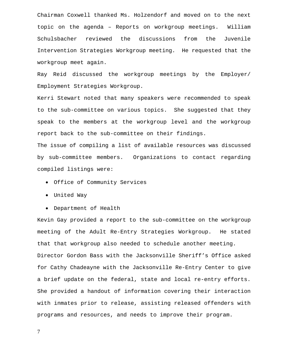Chairman Coxwell thanked Ms. Holzendorf and moved on to the next topic on the agenda – Reports on workgroup meetings. William Schulsbacher reviewed the discussions from the Juvenile Intervention Strategies Workgroup meeting. He requested that the workgroup meet again.

Ray Reid discussed the workgroup meetings by the Employer/ Employment Strategies Workgroup.

Kerri Stewart noted that many speakers were recommended to speak to the sub-committee on various topics. She suggested that they speak to the members at the workgroup level and the workgroup report back to the sub-committee on their findings.

The issue of compiling a list of available resources was discussed by sub-committee members. Organizations to contact regarding compiled listings were:

- Office of Community Services
- United Way
- Department of Health

Kevin Gay provided a report to the sub-committee on the workgroup meeting of the Adult Re-Entry Strategies Workgroup. He stated that that workgroup also needed to schedule another meeting. Director Gordon Bass with the Jacksonville Sheriff's Office asked for Cathy Chadeayne with the Jacksonville Re-Entry Center to give a brief update on the federal, state and local re-entry efforts. She provided a handout of information covering their interaction with inmates prior to release, assisting released offenders with programs and resources, and needs to improve their program.